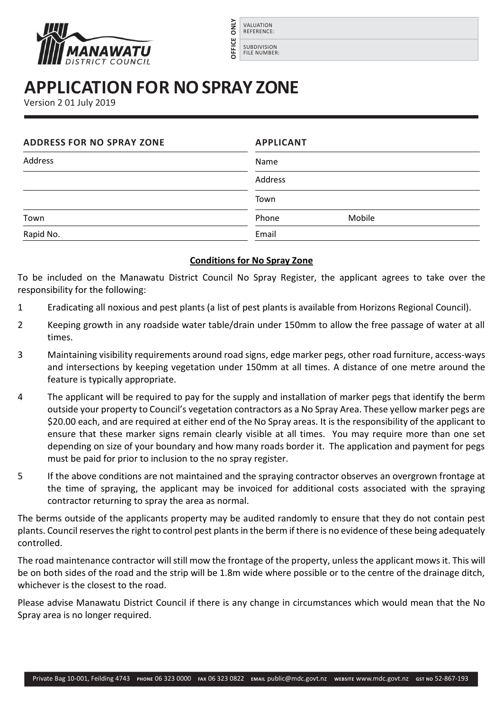



## **APPLICATION FOR NO SPRAY ZONE**

|         |                                                                                                                                                                                                                                                                                                                                                                                                                                                                                                                                                                                                                              | <b>AINO</b><br>VALUATION<br><b>REFERENCE:</b><br><b>DFFICE</b><br><b>SUBDIVISION</b><br><b>FILE NUMBER:</b>                                                                                                                              |  |  |                                                                |
|---------|------------------------------------------------------------------------------------------------------------------------------------------------------------------------------------------------------------------------------------------------------------------------------------------------------------------------------------------------------------------------------------------------------------------------------------------------------------------------------------------------------------------------------------------------------------------------------------------------------------------------------|------------------------------------------------------------------------------------------------------------------------------------------------------------------------------------------------------------------------------------------|--|--|----------------------------------------------------------------|
|         |                                                                                                                                                                                                                                                                                                                                                                                                                                                                                                                                                                                                                              |                                                                                                                                                                                                                                          |  |  | <b>APPLICATION FOR NO SPRAY ZONE</b><br>Version 2 01 July 2019 |
|         | <b>ADDRESS FOR NO SPRAY ZONE</b>                                                                                                                                                                                                                                                                                                                                                                                                                                                                                                                                                                                             | <b>APPLICANT</b>                                                                                                                                                                                                                         |  |  |                                                                |
| Address |                                                                                                                                                                                                                                                                                                                                                                                                                                                                                                                                                                                                                              | Name                                                                                                                                                                                                                                     |  |  |                                                                |
|         |                                                                                                                                                                                                                                                                                                                                                                                                                                                                                                                                                                                                                              | Address                                                                                                                                                                                                                                  |  |  |                                                                |
|         |                                                                                                                                                                                                                                                                                                                                                                                                                                                                                                                                                                                                                              | Town                                                                                                                                                                                                                                     |  |  |                                                                |
| Town    |                                                                                                                                                                                                                                                                                                                                                                                                                                                                                                                                                                                                                              | Phone<br>Mobile                                                                                                                                                                                                                          |  |  |                                                                |
|         | Rapid No.                                                                                                                                                                                                                                                                                                                                                                                                                                                                                                                                                                                                                    | Email                                                                                                                                                                                                                                    |  |  |                                                                |
|         |                                                                                                                                                                                                                                                                                                                                                                                                                                                                                                                                                                                                                              | <b>Conditions for No Spray Zone</b>                                                                                                                                                                                                      |  |  |                                                                |
|         | esponsibility for the following:                                                                                                                                                                                                                                                                                                                                                                                                                                                                                                                                                                                             | To be included on the Manawatu District Council No Spray Register, the applicant agrees to take over th                                                                                                                                  |  |  |                                                                |
|         | Eradicating all noxious and pest plants (a list of pest plants is available from Horizons Regional Council).                                                                                                                                                                                                                                                                                                                                                                                                                                                                                                                 |                                                                                                                                                                                                                                          |  |  |                                                                |
|         | Keeping growth in any roadside water table/drain under 150mm to allow the free passage of water at a<br>times.                                                                                                                                                                                                                                                                                                                                                                                                                                                                                                               |                                                                                                                                                                                                                                          |  |  |                                                                |
|         | Maintaining visibility requirements around road signs, edge marker pegs, other road furniture, access-way<br>and intersections by keeping vegetation under 150mm at all times. A distance of one metre around th<br>feature is typically appropriate.                                                                                                                                                                                                                                                                                                                                                                        |                                                                                                                                                                                                                                          |  |  |                                                                |
|         | The applicant will be required to pay for the supply and installation of marker pegs that identify the berr<br>outside your property to Council's vegetation contractors as a No Spray Area. These yellow marker pegs ar<br>\$20.00 each, and are required at either end of the No Spray areas. It is the responsibility of the applicant t<br>ensure that these marker signs remain clearly visible at all times. You may require more than one se<br>depending on size of your boundary and how many roads border it. The application and payment for peg<br>must be paid for prior to inclusion to the no spray register. |                                                                                                                                                                                                                                          |  |  |                                                                |
|         | If the above conditions are not maintained and the spraying contractor observes an overgrown frontage a<br>the time of spraying, the applicant may be invoiced for additional costs associated with the sprayin<br>contractor returning to spray the area as normal.                                                                                                                                                                                                                                                                                                                                                         |                                                                                                                                                                                                                                          |  |  |                                                                |
|         | controlled.                                                                                                                                                                                                                                                                                                                                                                                                                                                                                                                                                                                                                  | The berms outside of the applicants property may be audited randomly to ensure that they do not contain pest<br>blants. Council reserves the right to control pest plants in the berm if there is no evidence of these being adequatel   |  |  |                                                                |
|         | whichever is the closest to the road.                                                                                                                                                                                                                                                                                                                                                                                                                                                                                                                                                                                        | The road maintenance contractor will still mow the frontage of the property, unless the applicant mows it. This wi<br>be on both sides of the road and the strip will be 1.8m wide where possible or to the centre of the drainage ditch |  |  |                                                                |
|         | Spray area is no longer required.                                                                                                                                                                                                                                                                                                                                                                                                                                                                                                                                                                                            | lease advise Manawatu District Council if there is any change in circumstances which would mean that the N                                                                                                                               |  |  |                                                                |
|         |                                                                                                                                                                                                                                                                                                                                                                                                                                                                                                                                                                                                                              | Private Bag 10-001, Feilding 4743 PHONE 06 323 0000 FAX 06 323 0822 EMAIL public@mdc.govt.nz wEBSITE WWW.mdc.govt.nz GST NO 52-867-193                                                                                                   |  |  |                                                                |

## **Conditions for No Spray Zone**

- 1 Eradicating all noxious and pest plants (a list of pest plants is available from Horizons Regional Council).
- 2 Keeping growth in any roadside water table/drain under 150mm to allow the free passage of water at all times.
- 3 Maintaining visibility requirements around road signs, edge marker pegs, other road furniture, access-ways and intersections by keeping vegetation under 150mm at all times. A distance of one metre around the feature is typically appropriate.
- 4 The applicant will be required to pay for the supply and installation of marker pegs that identify the berm outside your property to Council's vegetation contractors as a No Spray Area. These yellow marker pegs are \$20.00 each, and are required at either end of the No Spray areas. It is the responsibility of the applicant to ensure that these marker signs remain clearly visible at all times. You may require more than one set depending on size of your boundary and how many roads border it. The application and payment for pegs must be paid for prior to inclusion to the no spray register.
- 5 If the above conditions are not maintained and the spraying contractor observes an overgrown frontage at the time of spraying, the applicant may be invoiced for additional costs associated with the spraying contractor returning to spray the area as normal.